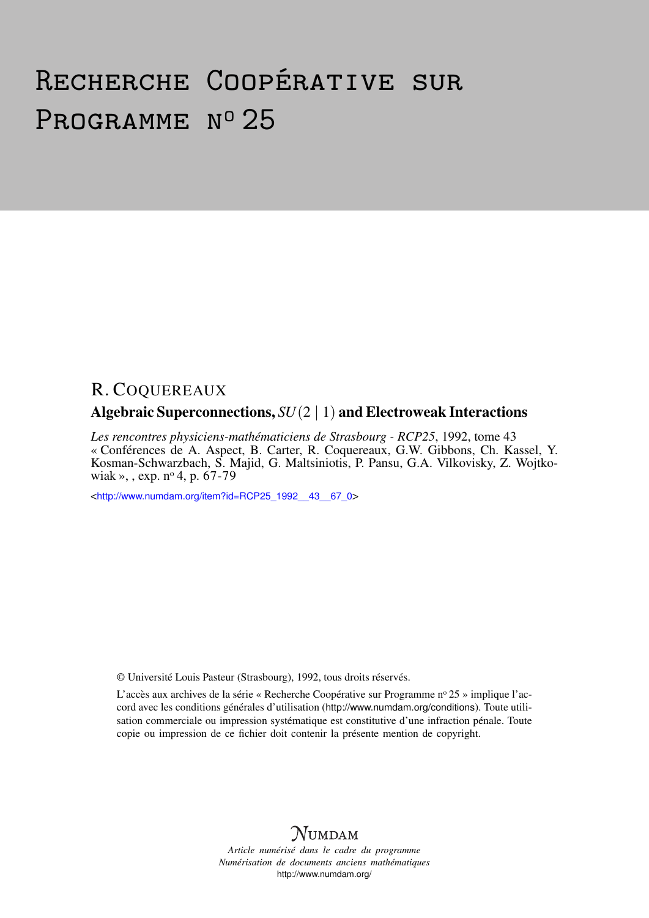# Recherche Coopérative sur PROGRAMME Nº 25

# R. COQUEREAUX

# Algebraic Superconnections, *SU*(2 | 1) and Electroweak Interactions

*Les rencontres physiciens-mathématiciens de Strasbourg - RCP25*, 1992, tome 43 « Conférences de A. Aspect, B. Carter, R. Coquereaux, G.W. Gibbons, Ch. Kassel, Y. Kosman-Schwarzbach, S. Majid, G. Maltsiniotis, P. Pansu, G.A. Vilkovisky, Z. Wojtkowiak », , exp. nº 4, p. 67-79

<[http://www.numdam.org/item?id=RCP25\\_1992\\_\\_43\\_\\_67\\_0](http://www.numdam.org/item?id=RCP25_1992__43__67_0)>

© Université Louis Pasteur (Strasbourg), 1992, tous droits réservés.

L'accès aux archives de la série « Recherche Coopérative sur Programme n° 25 » implique l'accord avec les conditions générales d'utilisation (<http://www.numdam.org/conditions>). Toute utilisation commerciale ou impression systématique est constitutive d'une infraction pénale. Toute copie ou impression de ce fichier doit contenir la présente mention de copyright.



*Article numérisé dans le cadre du programme Numérisation de documents anciens mathématiques* <http://www.numdam.org/>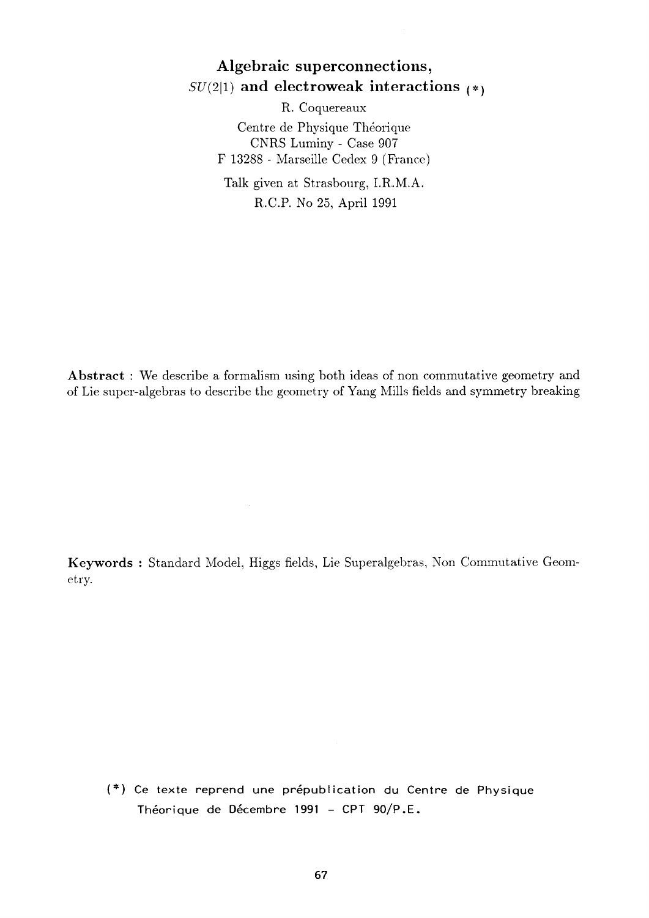# **Algebraic superconnections,**   $SU(2|1)$  and electroweak interactions  $(*)$

R. Coquereaux Centre de Physique Théorique CNRS Luminy - Case 907 F 13288 - Marseille Cedex 9 (France)

Talk given at Strasbourg, I.R.M.A. R.C.R No 25, April 1991

**Abstract** : We describe a formalism using both ideas of non commutative geometry and of Lie super-algebras to describe the geometry of Yang Mills fields and symmetry breaking

**Keywords** : Standard Model, Higgs fields, Lie Superalgebras, Non Commutative Geometry.

(\*) Ce texte reprend une prépublication du Centre de Physique Théorique de Décembre **Ί991** - CPT **90** /P.E .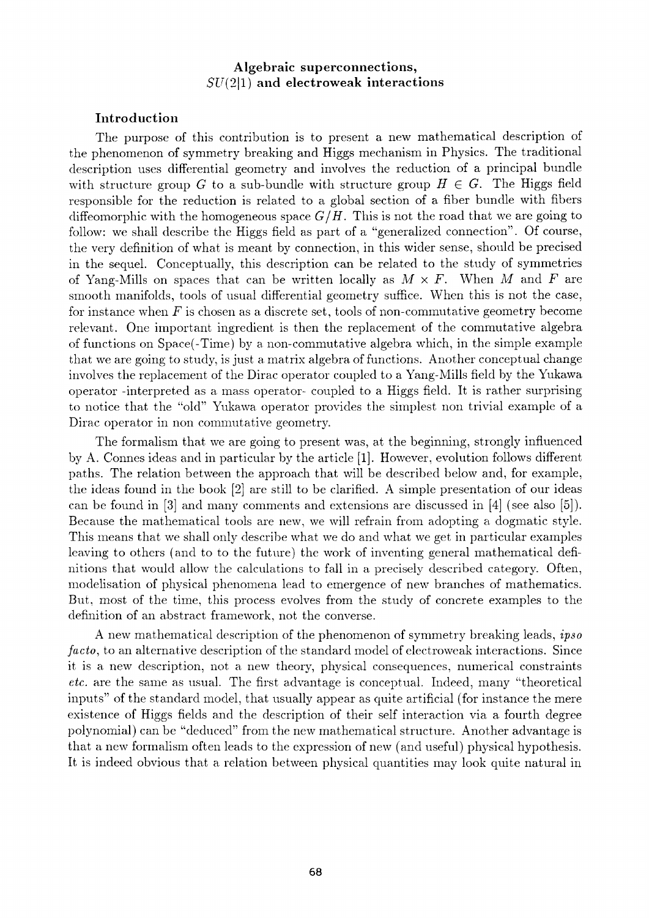# **Algebraic superconnections,**  SÎ7(2|1) **and electroweak interactions**

# **Introduction**

The purpose of this contribution is to present a new mathematical description of the phenomenon of symmetry breaking and Higgs mechanism in Physics. The traditional description uses differential geometry and involves the reduction of a principal bundle with structure group G to a sub-bundle with structure group  $H \in G$ . The Higgs field responsible for the reduction is related to a global section of a fiber bundle with fibers diffeomorphic with the homogeneous space  $G/H$ . This is not the road that we are going to follow: we shall describe the Higgs field as part of a "generalized connection". Of course, the very definition of what is meant by connection, in this wider sense, should be precised in the sequel. Conceptually, this description can be related to the study of symmetries of Yang-Mills on spaces that can be written locally as  $M \times F$ . When M and F are smooth manifolds, tools of usual differential geometry suffice. When this is not the case, for instance when *F* is chosen as a discrete set, tools of non-commutative geometry become relevant. One important ingredient is then the replacement of the commutative algebra of functions on Space(-Time) by a non-commutative algebra which, in the simple example that we are going to study, is just a matrix algebra of functions. Another conceptual change involves the replacement of the Dirac operator coupled to a Yang-Mills field by the Yukawa operator -interpreted as a mass operator- coupled to a Higgs field. It is rather surprising to notice that the "old" Yukawa operator provides the simplest non trivial example of a Dirac operator in non commutative geometry.

The formalism that we are going to present was, at the beginning, strongly influenced by A. Connes ideas and in particular by the article [1]. However, evolution follows different paths. The relation between the approach that will be described below and, for example, the ideas found in the book [2] are still to be clarified. A simple presentation of our ideas can be found in [3] and many comments and extensions are discussed in [4] (see also [5]). Because the mathematical tools are new, we will refrain from adopting a dogmatic style. This means that we shall only describe what we do and what we get in particular examples leaving to others (and to to the future) the work of inventing general mathematical definitions that would allow the calculations to fall in a precisely described category. Often, modélisation of physical phenomena lead to emergence of new branches of mathematics. But, most of the time, this process evolves from the study of concrete examples to the definition of an abstract framework, not the converse.

A new mathematical description of the phenomenon of symmetry breaking leads, *ipso facto,* to an alternative description of the standard model of electroweak interactions. Since it is a new description, not a new theory, physical consequences, numerical constraints *etc.* are the same as usual. The first advantage is conceptual. Indeed, many "theoretical inputs" of the standard model, that usually appear as quite artificial (for instance the mere existence of Higgs fields and the description of their self interaction via a fourth degree polynomial) can be "deduced" from the new mathematical structure. Another advantage is that a new formalism often leads to the expression of new (and useful) physical hypothesis. It is indeed obvious that a relation between physical quantities may look quite natural in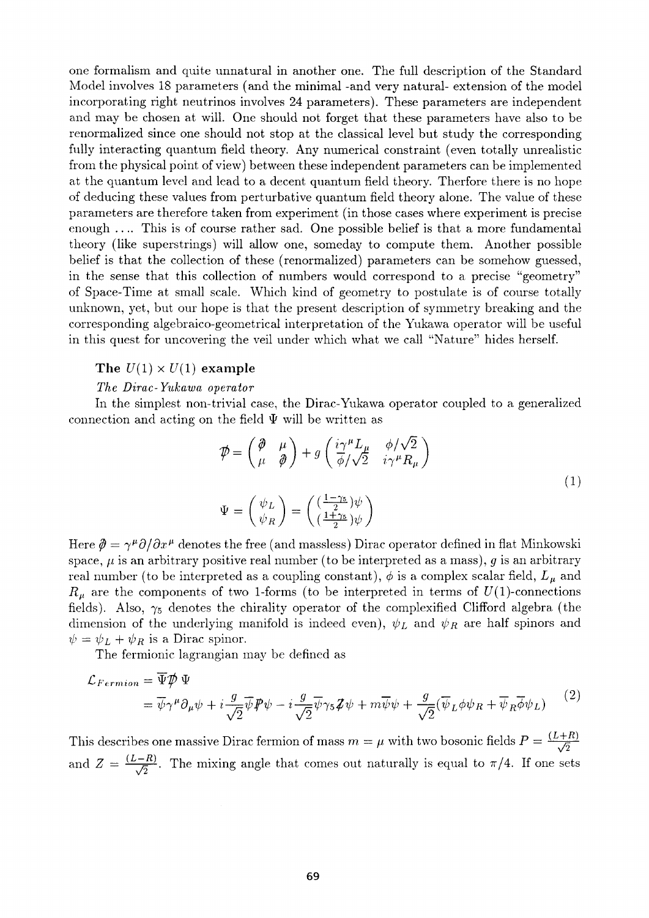one formalism and quite unnatural in another one. The full description of the Standard Model involves 18 parameters (and the minimal -and very natural- extension of the model incorporating right neutrinos involves 24 parameters). These parameters are independent and may be chosen at will. One should not forget that these parameters have also to be renormalized since one should not stop at the classical level but study the corresponding fully interacting quantum field theory. Any numerical constraint (even totally unrealistic from the physical point of view) between these independent parameters can be implemented at the quantum level and lead to a decent quantum field theory. Therfore there is no hope of deducing these values from perturbative quantum field theory alone. The value of these parameters are therefore taken from experiment (in those cases where experiment is precise enough .... This is of course rather sad. One possible belief is that a more fundamental theory (like superstrings) will allow one, someday to compute them. Another possible belief is that the collection of these (renormalized) parameters can be somehow guessed, in the sense that this collection of numbers would correspond to a precise "geometry" of Space-Time at small scale. Which kind of geometry to postulate is of course totally unknown, yet, but our hope is that the present description of symmetry breaking and the corresponding algebraico-geometrical interpretation of the Yukawa operator will be useful in this quest for uncovering the veil under which what we call "Nature" hides herself.

## The  $U(1) \times U(1)$  **example**

#### *The Dirac- Yukawa operator*

In the simplest non-trivial case, the Dirac-Yukawa operator coupled to a generalized connection and acting on the field  $\Psi$  will be written as

$$
\mathcal{P} = \begin{pmatrix} \mathcal{P} & \mu \\ \mu & \mathcal{P} \end{pmatrix} + g \left( \frac{i\gamma^{\mu} L_{\mu}}{\phi / \sqrt{2}} \begin{pmatrix} \frac{\phi}{\sqrt{2}} \\ i\gamma^{\mu} R_{\mu} \end{pmatrix} \right)
$$
\n
$$
\Psi = \begin{pmatrix} \psi_L \\ \psi_R \end{pmatrix} = \begin{pmatrix} \left( \frac{1 - \gamma_5}{2} \right) \psi \\ \left( \frac{1 + \gamma_5}{2} \right) \psi \end{pmatrix}
$$
\n(1)

Here  $\partial \theta = \gamma^{\mu} \partial / \partial x^{\mu}$  denotes the free (and massless) Dirac operator defined in flat Minkowski space,  $\mu$  is an arbitrary positive real number (to be interpreted as a mass),  $g$  is an arbitrary real number (to be interpreted as a coupling constant),  $\phi$  is a complex scalar field,  $L_{\mu}$  and  $R_{\mu}$  are the components of two 1-forms (to be interpreted in terms of  $U(1)$ -connections fields). Also,  $\gamma_5$  denotes the chirality operator of the complexified Clifford algebra (the dimension of the underlying manifold is indeed even),  $\psi_L$  and  $\psi_R$  are half spinors and  $\psi = \psi_L + \psi_R$  is a Dirac spinor.

The fermionic lagrangian may be defined as

$$
\mathcal{L}_{Fermion} = \overline{\Psi} \mathcal{D} \Psi
$$
  
=  $\overline{\psi} \gamma^{\mu} \partial_{\mu} \psi + i \frac{g}{\sqrt{2}} \overline{\psi} \mathcal{P} \psi - i \frac{g}{\sqrt{2}} \overline{\psi} \gamma_5 \mathcal{Z} \psi + m \overline{\psi} \psi + \frac{g}{\sqrt{2}} (\overline{\psi}_L \phi \psi_R + \overline{\psi}_R \overline{\phi} \psi_L)$  (2)

This describes one massive Dirac fermion of mass  $m = \mu$  with two bosonic fields  $P = \frac{(L+R)}{\sqrt{2}}$ and  $Z = \frac{(L-R)}{\sqrt{2}}$ . The mixing angle that comes out naturally is equal to  $\pi/4$ . If one sets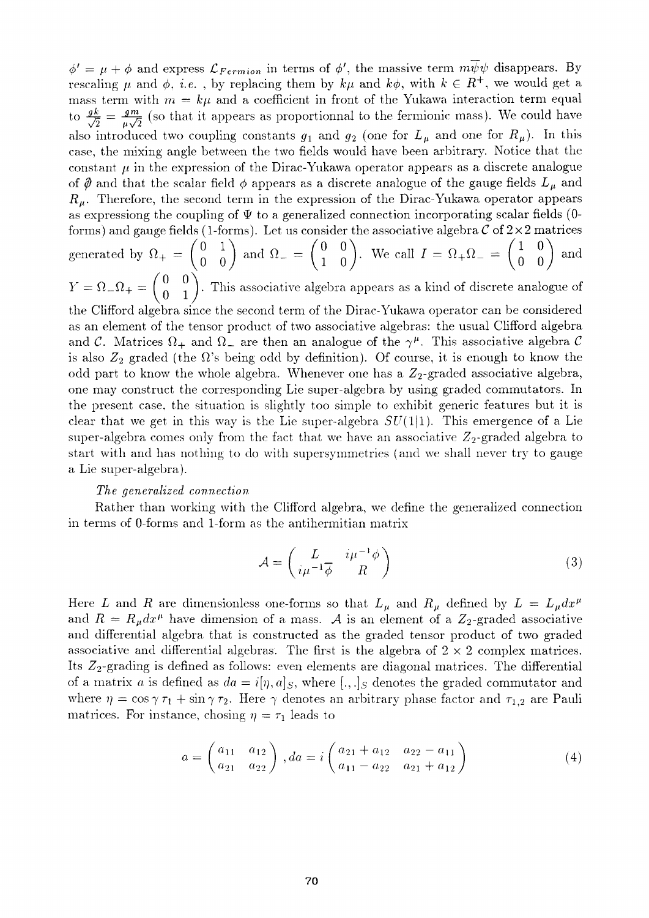$\phi' = \mu + \phi$  and express  $\mathcal{L}_{Fermion}$  in terms of  $\phi'$ , the massive term  $m\psi\psi$  disappears. By rescaling  $\mu$  and  $\phi$ , *i.e.*, by replacing them by  $k\mu$  and  $k\phi$ , with  $k \in R^+$ , we would get a mass term with  $m = k\mu$  and a coefficient in front of the Yukawa interaction term equal to  $\frac{g}{\sqrt{2}} = \frac{gm}{\mu\sqrt{2}}$  (so that it appears as proportionnal to the fermionic mass). We could have also introduced two coupling constants  $g_1$  and  $g_2$  (one for  $L_\mu$  and one for  $R_\mu$ ). In this case, the mixing angle between the two fields would have been arbitrary. Notice that the constant  $\mu$  in the expression of the Dirac-Yukawa operator appears as a discrete analogue of  $\hat{\phi}$  and that the scalar field  $\phi$  appears as a discrete analogue of the gauge fields  $L_{\mu}$  and  $R<sub>\mu</sub>$ . Therefore, the second term in the expression of the Dirac-Yukawa operator appears as expressiong the coupling of  $\Psi$  to a generalized connection incorporating scalar fields (0forms) and gauge fields (1-forms). Let us consider the associative algebra  $\mathcal{C}$  of  $2\times 2$  matrices generated by  $\Omega_+ = \begin{pmatrix} 0 & 1 \\ 0 & 0 \end{pmatrix}$  and  $\Omega_- = \begin{pmatrix} 0 & 0 \\ 1 & 0 \end{pmatrix}$ . We call  $I = \Omega_+ \Omega_- = \begin{pmatrix} 1 & 0 \\ 0 & 0 \end{pmatrix}$  and *Y* =  $\Omega$ <sub>-</sub> $\Omega$ <sub>+</sub> =  $\begin{pmatrix} 0 & 0 \\ 0 & 1 \end{pmatrix}$ . This associative algebra appears as a kind of discrete analogue of

the Clifford algebra since the second term of the Dirac-Yukawa operator can be considered as an element of the tensor product of two associative algebras: the usual Clifford algebra and *C*. Matrices  $\Omega_+$  and  $\Omega_-$  are then an analogue of the  $\gamma^\mu$ . This associative algebra *C* is also  $Z_2$  graded (the  $\Omega$ 's being odd by definition). Of course, it is enough to know the odd part to know the whole algebra. Whenever one has a  $Z_2$ -graded associative algebra, one may construct the corresponding Lie super-algebra by using graded commutators. In the present case, the situation is slightly too simple to exhibit generic features but it is clear that we get in this way is the Lie super-algebra  $SU(1|1)$ . This emergence of a Lie super-algebra comes only from the fact that we have an associative  $Z_2$ -graded algebra to start with and has nothing to do with supersymmetries (and we shall never try to gauge a Lie super-algebra).

#### *The generalized connection*

Rather than working with the Clifford algebra, we define the generalized connection in terms of 0-forms and 1-form as the antihermitian matrix

$$
\mathcal{A} = \begin{pmatrix} L & i\mu^{-1}\phi \\ i\mu^{-1}\overline{\phi} & R \end{pmatrix} \tag{3}
$$

Here *L* and *R* are dimensionless one-forms so that  $L_{\mu}$  and  $R_{\mu}$  defined by  $L = L_{\mu}dx^{\mu}$ and  $R = R<sub>\mu</sub> dx^{\mu}$  have dimension of a mass. A is an element of a Z<sub>2</sub>-graded associative and differential algebra that is constructed as the graded tensor product of two graded associative and differential algebras. The first is the algebra of  $2 \times 2$  complex matrices. Its  $Z_2$ -grading is defined as follows: even elements are diagonal matrices. The differential of a matrix *a* is defined as  $da = i[\eta, a]_S$ , where [.,.] denotes the graded commutator and where  $\eta = \cos \gamma \tau_1 + \sin \gamma \tau_2$ . Here  $\gamma$  denotes an arbitrary phase factor and  $\tau_{1,2}$  are Pauli matrices. For instance, chosing  $\eta = \tau_1$  leads to

$$
a = \begin{pmatrix} a_{11} & a_{12} \\ a_{21} & a_{22} \end{pmatrix}, da = i \begin{pmatrix} a_{21} + a_{12} & a_{22} - a_{11} \\ a_{11} - a_{22} & a_{21} + a_{12} \end{pmatrix}
$$
 (4)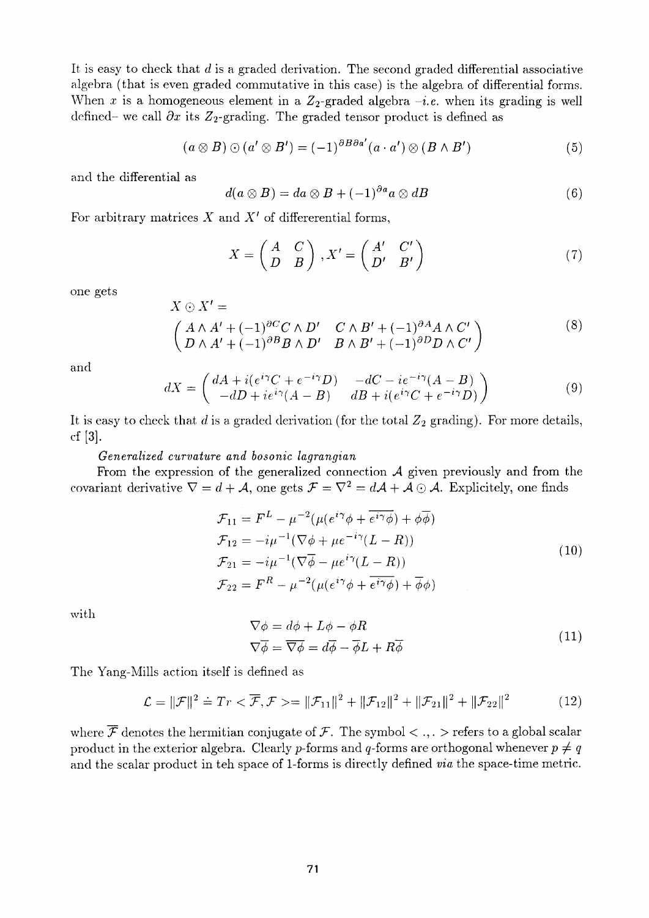It is easy to check that *d* is a graded derivation. The second graded differential associative algebra (that is even graded commutative in this case) is the algebra of differential forms. When x is a homogeneous element in a  $Z_2$ -graded algebra  $-i.e.$  when its grading is well defined- we call  $\partial x$  its  $Z_2$ -grading. The graded tensor product is defined as

$$
(a \otimes B) \odot (a' \otimes B') = (-1)^{\partial B \partial a'} (a \cdot a') \otimes (B \wedge B')
$$
 (5)

**and the differential as** 

$$
d(a\otimes B) = da\otimes B + (-1)^{\partial a}a\otimes dB \tag{6}
$$

For arbitrary matrices X and X' of differerential forms,

$$
X = \begin{pmatrix} A & C \\ D & B \end{pmatrix}, X' = \begin{pmatrix} A' & C' \\ D' & B' \end{pmatrix}
$$
 (7)

**one gets** 

$$
X \odot X' =
$$
\n
$$
\begin{pmatrix} A \wedge A' + (-1)^{\partial C} C \wedge D' & C \wedge B' + (-1)^{\partial A} A \wedge C' \\ D \wedge A' + (-1)^{\partial B} B \wedge D' & B \wedge B' + (-1)^{\partial D} D \wedge C' \end{pmatrix}
$$
\n(8)

**and** 

$$
dX = \begin{pmatrix} dA + i(e^{i\gamma}C + e^{-i\gamma}D) & -dC - ie^{-i\gamma}(A - B) \\ -dD + ie^{i\gamma}(A - B) & dB + i(e^{i\gamma}C + e^{-i\gamma}D) \end{pmatrix}
$$
(9)

It is easy to check that *d* is a graded derivation (for the total *2* grading). For more details, cf [3].

*Generalized curvature and bosonic lagrangian* 

**From the expression of the generalized connection** *A* **given previously and from the**  covariant derivative  $\nabla = d + \mathcal{A}$ , one gets  $\mathcal{F} = \nabla^2 = d\mathcal{A} + \mathcal{A} \odot \mathcal{A}$ . Explicitely, one finds

$$
\mathcal{F}_{11} = F^{L} - \mu^{-2}(\mu(e^{i\gamma}\phi + \overline{e^{i\gamma}\phi}) + \phi\overline{\phi})
$$
  
\n
$$
\mathcal{F}_{12} = -i\mu^{-1}(\nabla\phi + \mu e^{-i\gamma}(L - R))
$$
  
\n
$$
\mathcal{F}_{21} = -i\mu^{-1}(\nabla\overline{\phi} - \mu e^{i\gamma}(L - R))
$$
  
\n
$$
\mathcal{F}_{22} = F^{R} - \mu^{-2}(\mu(e^{i\gamma}\phi + \overline{e^{i\gamma}\phi}) + \overline{\phi}\phi)
$$
\n(10)

with

$$
\nabla \phi = d\phi + L\phi - \phi R
$$
  

$$
\nabla \overline{\phi} = \overline{\nabla \phi} = d\overline{\phi} - \overline{\phi}L + R\overline{\phi}
$$
 (11)

The Yang-Mills action itself is defined as

$$
\mathcal{L} = \|\mathcal{F}\|^2 \doteq Tr \langle \overline{\mathcal{F}}, \mathcal{F} \rangle = \|\mathcal{F}_{11}\|^2 + \|\mathcal{F}_{12}\|^2 + \|\mathcal{F}_{21}\|^2 + \|\mathcal{F}_{22}\|^2 \tag{12}
$$

where  $\overline{\mathcal{F}}$  denotes the hermitian conjugate of  $\mathcal{F}$ . The symbol  $\langle , . \rangle$  refers to a global scalar product in the exterior algebra. Clearly *p*-forms and *q*-forms are orthogonal whenever  $p \neq q$ and the scalar product in teh space of 1-forms is directly defined *via* the space-time metric.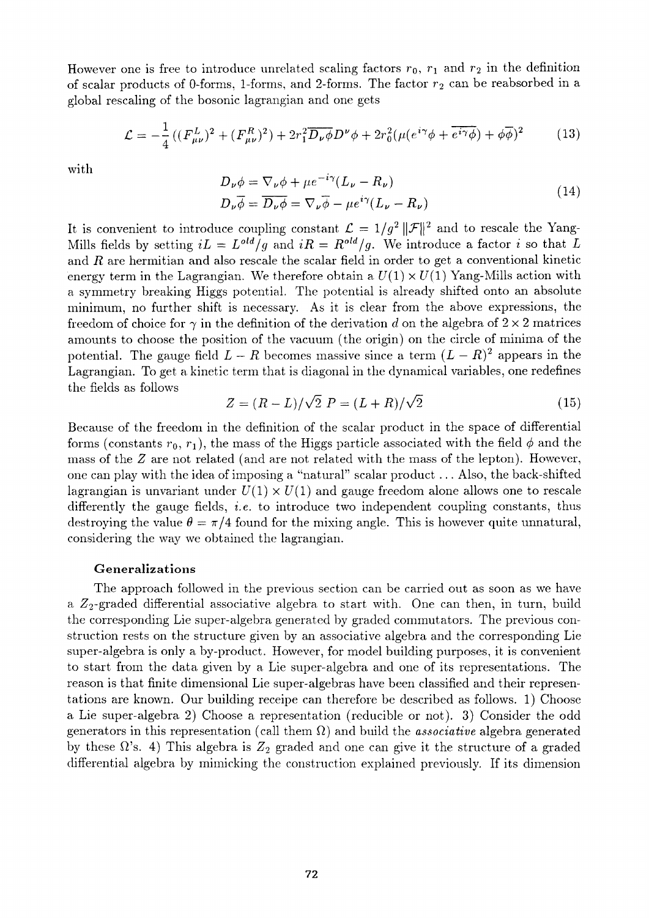However one is free to introduce unrelated scaling factors  $r_0$ ,  $r_1$  and  $r_2$  in the definition of scalar products of 0-forms, 1-forms, and 2-forms. The factor  $r_2$  can be reabsorbed in a global rescaling of the bosonic lagrangian and one gets

$$
\mathcal{L} = -\frac{1}{4} \left( (F_{\mu\nu}^L)^2 + (F_{\mu\nu}^R)^2 \right) + 2r_1^2 \overline{D_\nu \phi} D^\nu \phi + 2r_0^2 (\mu (e^{i\gamma} \phi + \overline{e^{i\gamma} \phi}) + \phi \overline{\phi})^2 \tag{13}
$$

with

$$
D_{\nu}\phi = \nabla_{\nu}\phi + \mu e^{-i\gamma}(L_{\nu} - R_{\nu})
$$
  
\n
$$
D_{\nu}\overline{\phi} = \overline{D_{\nu}\phi} = \nabla_{\nu}\overline{\phi} - \mu e^{i\gamma}(L_{\nu} - R_{\nu})
$$
\n(14)

It is convenient to introduce coupling constant  $\mathcal{L} = 1/g^2 ||\mathcal{F}||^2$  and to rescale the Yang-Mills fields by setting  $iL = L^{out}/g$  and  $iR = R^{out}/g$ . We introduce a factor i so that L and *R* are hermitian and also rescale the scalar field in order to get a conventional kinetic energy term in the Lagrangian. We therefore obtain a  $U(1) \times U(1)$  Yang-Mills action with a symmetry breaking Higgs potential. The potential is already shifted onto an absolute minimum, no further shift is necessary. As it is clear from the above expressions, the freedom of choice for  $\gamma$  in the definition of the derivation d on the algebra of  $2 \times 2$  matrices amounts to choose the position of the vacuum (the origin) on the circle of minima of the potential. The gauge field *L — R* becomes massive since a term *(L — R)<sup>2</sup>* appears in the Lagrangian. To get a kinetic term that is diagonal in the dynamical variables, one redefines the fields as follows

$$
Z = (R - L)/\sqrt{2} \ P = (L + R)/\sqrt{2} \tag{15}
$$

Because of the freedom in the definition of the scalar product in the space of differential forms (constants  $r_0, r_1$ ), the mass of the Higgs particle associated with the field  $\phi$  and the mass of the  $Z$  are not related (and are not related with the mass of the lepton). However, one can play with the idea of imposing a "natural" scalar product . . . Also, the back-shifted lagrangian is unvariant under  $U(1) \times U(1)$  and gauge freedom alone allows one to rescale differently the gauge fields, *i.e.* to introduce two independent coupling constants, thus destroying the value  $\theta = \pi/4$  found for the mixing angle. This is however quite unnatural, considering the way we obtained the lagrangian.

#### **Generalizations**

The approach followed in the previous section can be carried out as soon as we have a  $Z_2$ -graded differential associative algebra to start with. One can then, in turn, build the corresponding Lie super-algebra generated by graded commutators. The previous construction rests on the structure given by an associative algebra and the corresponding Lie super-algebra is only a by-product. However, for model building purposes, it is convenient to start from the data given by a Lie super-algebra and one of its representations. The reason is that finite dimensional Lie super-algebras have been classified and their representations are known. Our building receipe can therefore be described as follows. 1) Choose a Lie super-algebra 2) Choose a representation (reducible or not). 3) Consider the odd generators in this representation (call them  $\Omega$ ) and build the *associative* algebra generated by these  $\Omega$ 's. 4) This algebra is  $Z_2$  graded and one can give it the structure of a graded differential algebra by mimicking the construction explained previously. If its dimension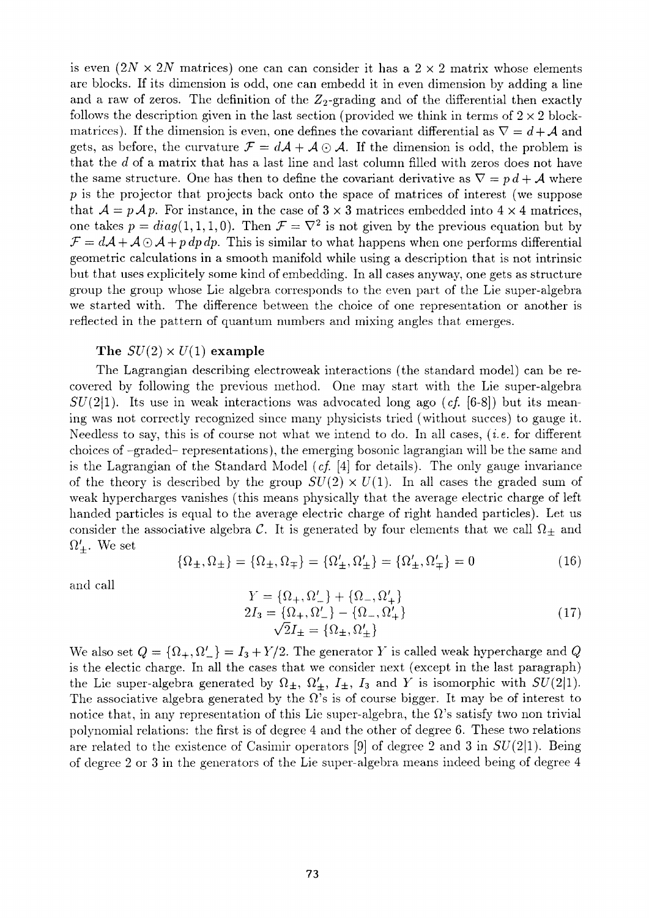is even  $(2N \times 2N)$  matrices) one can can consider it has a  $2 \times 2$  matrix whose elements are blocks. If its dimension is odd, one can embedd it in even dimension by adding a line and a raw of zeros. The definition of the  $Z_2$ -grading and of the differential then exactly follows the description given in the last section (provided we think in terms of  $2 \times 2$  blockmatrices). If the dimension is even, one defines the covariant differential as  $\nabla = d + A$  and gets, as before, the curvature  $\mathcal{F} = d\mathcal{A} + \mathcal{A} \odot \mathcal{A}$ . If the dimension is odd, the problem is that the *d* of a matrix that has a last line and last column filled with zeros does not have the same structure. One has then to define the covariant derivative as  $\nabla = p d + A$  where  $p$  is the projector that projects back onto the space of matrices of interest (we suppose that  $A = p A p$ . For instance, in the case of  $3 \times 3$  matrices embedded into  $4 \times 4$  matrices, one takes  $p = diag(1,1,1,0)$ . Then  $\mathcal{F} = \nabla^2$  is not given by the previous equation but by  $\mathcal{F} = d\mathcal{A} + \mathcal{A} \odot \mathcal{A} + p dp dp$ . This is similar to what happens when one performs differential geometric calculations in a smooth manifold while using a description that is not intrinsic but that uses explicitely some kind of embedding. In all cases anyway, one gets as structure group the group whose Lie algebra corresponds to the even part of the Lie super-algebra we started with. The difference between the choice of one representation or another is reflected in the pattern of quantum numbers and mixing angles that emerges.

# The  $SU(2) \times U(1)$  example

The Lagrangian describing electroweak interactions (the standard model) can be recovered by following the previous method. One may start with the Lie super-algebra  $SU(2|1)$ . Its use in weak interactions was advocated long ago *(cf.* [6-8]) but its meaning was not correctly recognized since many physicists tried (without succès) to gauge it. Needless to say, this is of course not what we intend to do. In all cases, *(i.e.* for different choices of -graded- representations), the emerging bosonic lagrangian will be the same and is the Lagrangian of the Standard Model *(cf.* [4] for details). The only gauge invariance of the theory is described by the group  $SU(2) \times U(1)$ . In all cases the graded sum of weak hypercharges vanishes (this means physically that the average electric charge of left handed particles is equal to the average electric charge of right handed particles). Let us consider the associative algebra C. It is generated by four elements that we call  $\Omega_{\pm}$  and  $\Omega'_{+}$ . We set

$$
\{\Omega_{\pm}, \Omega_{\pm}\} = \{\Omega_{\pm}, \Omega_{\mp}\} = \{\Omega'_{\pm}, \Omega'_{\pm}\} = \{\Omega'_{\pm}, \Omega'_{\mp}\} = 0
$$
\n(16)

and call

$$
Y = {\Omega_+, \Omega'_+ } + {\Omega_-, \Omega'_+ }
$$
  
\n
$$
2I_3 = {\Omega_+, \Omega'_- } - {\Omega_-, \Omega'_+ } \n\sqrt{2}I_{\pm} = {\Omega_{\pm}, \Omega'_{\pm} }
$$
\n(17)

We also set  $Q = \{\Omega_+, \Omega_-' \} = I_3 + Y/2$ . The generator *Y* is called weak hypercharge and *Q* is the electic charge. In all the cases that we consider next (except in the last paragraph) the Lie super-algebra generated by  $\Omega_{\pm}$ ,  $\Omega'_{\pm}$ ,  $I_{\pm}$ ,  $I_3$  and *Y* is isomorphic with  $SU(2|1)$ . The associative algebra generated by the  $\Omega$ 's is of course bigger. It may be of interest to notice that, in any representation of this Lie super-algebra, the  $\Omega$ 's satisfy two non trivial polynomial relations: the first is of degree 4 and the other of degree 6. These two relations are related to the existence of Casimir operators [9] of degree 2 and 3 in *SU(2\1).* Being of degree 2 or 3 in the generators of the Lie super-algebra means indeed being of degree 4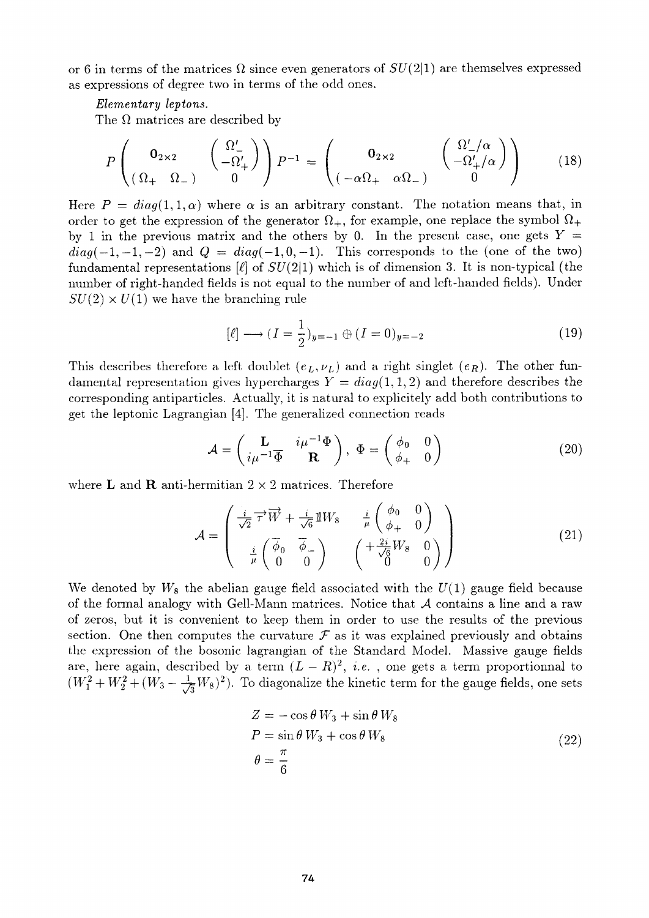or 6 in terms of the matrices  $\Omega$  since even generators of  $SU(2|1)$  are themselves expressed as expressions of degree two in terms of the odd ones.

#### *Elementary leptons.*

The  $\Omega$  matrices are described by

$$
P\left(\begin{array}{cc} \mathbf{0}_{2\times 2} & \left(\begin{array}{c} \Omega'_{-} \\ -\Omega'_{+} \end{array}\right) \\ \left(\begin{array}{cc} \Omega_{+} & \Omega_{-} \end{array}\right) & 0 \end{array}\right) P^{-1} = \left(\begin{array}{cc} \mathbf{0}_{2\times 2} & \left(\begin{array}{c} \Omega'_{-}/\alpha \\ -\Omega'_{+}/\alpha \end{array}\right) \\ \left(\begin{array}{cc} -\alpha\Omega_{+} & \alpha\Omega_{-} \end{array}\right) & 0 \end{array}\right) (18)
$$

Here  $P = diag(1,1,\alpha)$  where  $\alpha$  is an arbitrary constant. The notation means that, in order to get the expression of the generator  $\Omega_{+}$ , for example, one replace the symbol  $\Omega_{+}$ by 1 in the previous matrix and the others by 0. In the present case, one gets  $Y =$  $diag(-1,-1,-2)$  and  $Q = diag(-1,0,-1)$ . This corresponds to the (one of the two) fundamental representations  $[\ell]$  of  $SU(2|1)$  which is of dimension 3. It is non-typical (the number of right-handed fields is not equal to the number of and left-handed fields). Under  $SU(2) \times U(1)$  we have the branching rule

$$
[\ell] \longrightarrow (I = \frac{1}{2})_{y=-1} \oplus (I = 0)_{y=-2}
$$
\n(19)

This describes therefore a left doublet  $(e_L, \nu_L)$  and a right singlet  $(e_R)$ . The other fundamental representation gives hypercharges  $Y = diag(1, 1, 2)$  and therefore describes the corresponding antiparticles. Actually, it is natural to explicitely add both contributions to get the leptonic Lagrangian [4]. The generalized connection reads

$$
\mathcal{A} = \begin{pmatrix} \mathbf{L} & i\mu^{-1}\Phi \\ i\mu^{-1}\overline{\Phi} & \mathbf{R} \end{pmatrix}, \ \Phi = \begin{pmatrix} \phi_0 & 0 \\ \phi_+ & 0 \end{pmatrix}
$$
(20)

where **L** and **R** anti-hermitian  $2 \times 2$  matrices. Therefore

$$
\mathcal{A} = \begin{pmatrix} \frac{i}{\sqrt{2}} \overrightarrow{\tau} \overrightarrow{W} + \frac{i}{\sqrt{6}} \mathbb{1}W_8 & \frac{i}{\mu} \begin{pmatrix} \phi_0 & 0 \\ \phi_+ & 0 \end{pmatrix} \\ \frac{i}{\mu} \begin{pmatrix} \overrightarrow{\phi}_0 & \overrightarrow{\phi}_- \\ 0 & 0 \end{pmatrix} & \begin{pmatrix} +\frac{2i}{\sqrt{6}} W_8 & 0 \\ 0 & 0 \end{pmatrix} \end{pmatrix}
$$
(21)

We denoted by  $W_8$  the abelian gauge field associated with the  $U(1)$  gauge field because of the formal analogy with Gell-Mann matrices. Notice that  $A$  contains a line and a raw of zeros, but it is convenient to keep them in order to use the results of the previous section. One then computes the curvature  $\mathcal F$  as it was explained previously and obtains the expression of the bosonic lagrangian of the Standard Model. Massive gauge fields are, here again, described by a term  $(L - R)^2$ , *i.e.*, one gets a term proportionnal to  $(W_1^2 + W_2^2 + (W_3 - \frac{1}{\sqrt{6}}W_8)^2)$ . To diagonalize the kinetic term for the gauge fields, one sets

$$
Z = -\cos\theta W_3 + \sin\theta W_8
$$
  
\n
$$
P = \sin\theta W_3 + \cos\theta W_8
$$
  
\n
$$
\theta = \frac{\pi}{6}
$$
\n(22)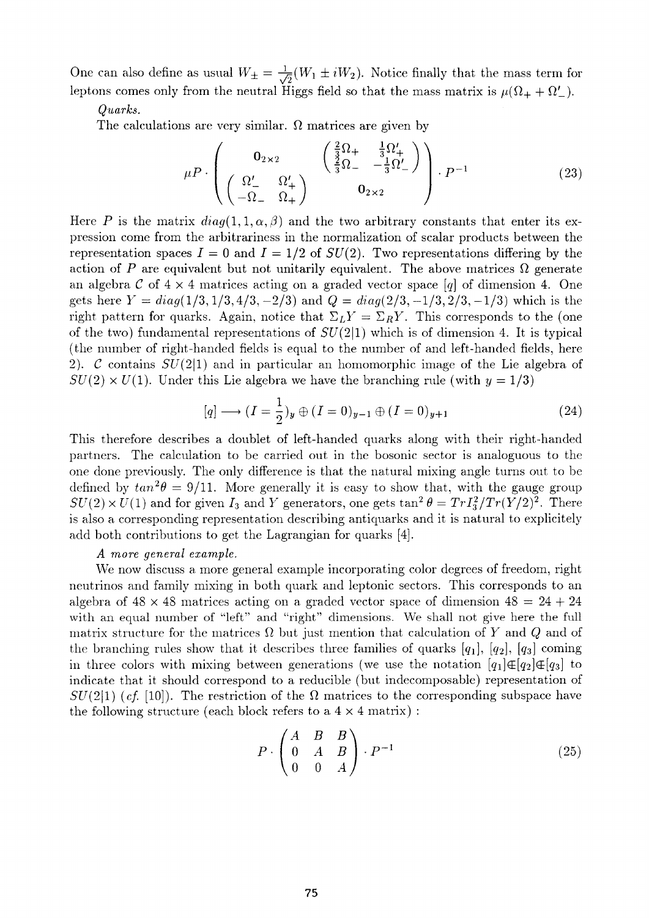One can also define as usual  $W_{\pm} = \frac{1}{\sqrt{2}}(W_1 \pm iW_2)$ . Notice finally that the mass term for leptons comes only from the neutral Higgs field so that the mass matrix is  $\mu(\Omega_+ + \Omega_-')$ .

### *Quarks.*

The calculations are very similar.  $\Omega$  matrices are given by

$$
\mu P \cdot \begin{pmatrix} \mathbf{0}_{2\times 2} & \left(\frac{\frac{2}{3}\Omega_{+} + \frac{1}{3}\Omega_{+}^{\prime}}{\frac{2}{3}\Omega_{-} - \frac{1}{3}\Omega_{-}^{\prime}}\right) \\ \left(\frac{\Omega_{-}^{\prime}}{\Omega_{-} - \Omega_{+}}\right) & \mathbf{0}_{2\times 2} \end{pmatrix} \cdot P^{-1} \tag{23}
$$

Here P is the matrix  $diag(1, 1, \alpha, \beta)$  and the two arbitrary constants that enter its expression come from the arbitrariness in the normalization of scalar products between the representation spaces  $I = 0$  and  $I = 1/2$  of  $SU(2)$ . Two representations differing by the action of P are equivalent but not unitarily equivalent. The above matrices  $\Omega$  generate an algebra C of  $4 \times 4$  matrices acting on a graded vector space [q] of dimension 4. One gets here  $Y = diag(1/3, 1/3, 4/3, -2/3)$  and  $Q = diag(2/3, -1/3, 2/3, -1/3)$  which is the right pattern for quarks. Again, notice that  $\Sigma_L Y = \Sigma_R Y$ . This corresponds to the (one of the two) fundamental representations of  $SU(2|1)$  which is of dimension 4. It is typical (the number of right-handed fields is equal to the number of and left-handed fields, here 2). *C* contains *SU(2\1)* and in particular an homomorphic image of the Lie algebra of  $SU(2) \times U(1)$ . Under this Lie algebra we have the branching rule (with  $y = 1/3$ )

$$
[q] \longrightarrow (I = \frac{1}{2})_y \oplus (I = 0)_{y-1} \oplus (I = 0)_{y+1}
$$
 (24)

This therefore describes a doublet of left-handed quarks along with their right-handed partners. The calculation to be carried out in the bosonic sector is analoguous to the one done previously. The only difference is that the natural mixing angle turns out to be defined by  $tan^2\theta = 9/11$ . More generally it is easy to show that, with the gauge group  $SU(2) \times U(1)$  and for given  $I_3$  and *Y* generators, one gets tan<sup>2</sup>  $\theta = Tr I_3^2 / Tr(Y/2)^2$ . There is also a corresponding representation describing antiquarks and it is natural to explicitely add both contributions to get the Lagrangian for quarks [4].

#### *A more general example.*

We now discuss a more general example incorporating color degrees of freedom, right neutrinos and family mixing in both quark and leptonic sectors. This corresponds to an algebra of  $48 \times 48$  matrices acting on a graded vector space of dimension  $48 = 24 + 24$ with an equal number of "left" and "right" dimensions. We shall not give here the full matrix structure for the matrices  $\Omega$  but just mention that calculation of  $Y$  and  $Q$  and of the branching rules show that it describes three families of quarks  $[q_1]$ ,  $[q_2]$ ,  $[q_3]$  coming in three colors with mixing between generations (we use the notation  $[q_1] \notin [q_2] \notin [q_3]$  to indicate that it should correspond to a reducible (but indecomposable) representation of  $SU(2|1)$  (cf. [10]). The restriction of the  $\Omega$  matrices to the corresponding subspace have the following structure (each block refers to a  $4 \times 4$  matrix):

$$
P \cdot \begin{pmatrix} A & B & B \\ 0 & A & B \\ 0 & 0 & A \end{pmatrix} \cdot P^{-1}
$$
 (25)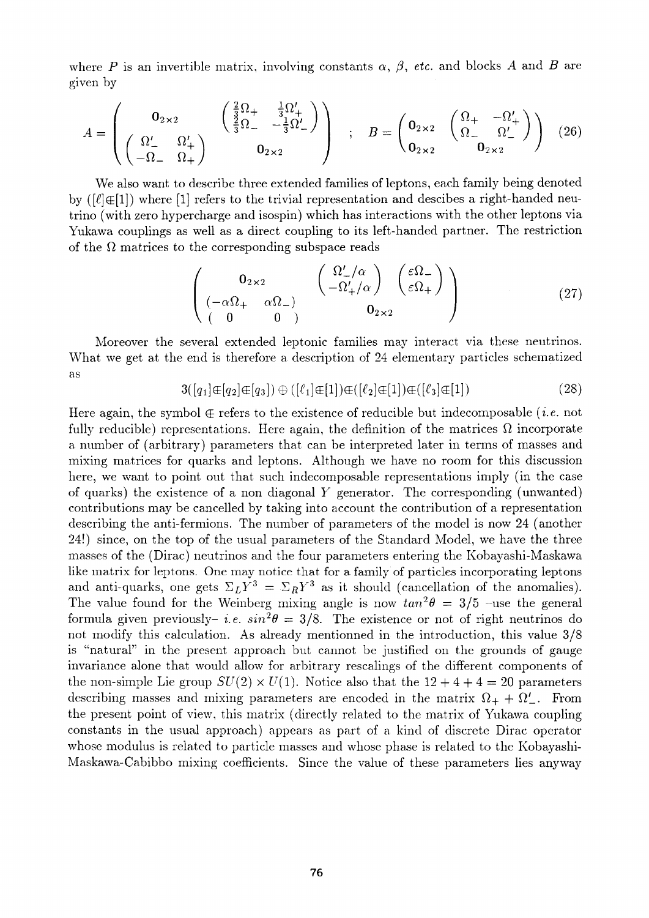where P is an invertible matrix, involving constants  $\alpha$ ,  $\beta$ , *etc.* and blocks A and B are given by

$$
A = \begin{pmatrix} \mathbf{0}_{2\times 2} & \left(\frac{\frac{2}{3}\Omega_{+}}{\frac{3}{3}\Omega_{-}} - \frac{1}{3}\Omega_{-}'\right) \\ \left(\begin{array}{cc} \Omega_{-}' & \Omega_{+}' \\ -\Omega_{-} & \Omega_{+}' \end{array}\right) & \mathbf{0}_{2\times 2} \end{pmatrix} \quad ; \quad B = \begin{pmatrix} \mathbf{0}_{2\times 2} & \left(\begin{array}{cc} \Omega_{+} & -\Omega_{+}' \\ \Omega_{-} & \Omega_{-}' \end{array}\right) \\ \left(\begin{array}{cc} \Omega_{-}' & \Omega_{-}' \\ -\Omega_{-} & \Omega_{+}' \end{array}\right) & \mathbf{0}_{2\times 2} \end{pmatrix} \tag{26}
$$

**We also want to describe three extended families of leptons, each family being denoted**  by  $([\ell] \notin [1])$  where [1] refers to the trivial representation and descibes a right-handed neu**trino (with zero hypercharge and isospin) which has interactions with the other leptons via Yukawa couplings as well as a direct coupling to its left-handed partner. The restriction**  of the  $\Omega$  matrices to the corresponding subspace reads

$$
\begin{pmatrix}\n0_{2\times2} & \left(\frac{\Omega'_{-}/\alpha}{-\Omega'_{+}/\alpha}\right) & \left(\frac{\varepsilon\Omega_{-}}{\varepsilon\Omega_{+}}\right) \\
(-\alpha\Omega_{+} & \alpha\Omega_{-}) & 0_{2\times2} \\
0 & 0 & 0\n\end{pmatrix}
$$
\n(27)

Moreover the several extended leptonic families may interact via these neutrinos. What we get at the end is therefore a description of 24 elementary particles schematized as

$$
3([q_1] \oplus [q_2] \oplus [q_3]) \oplus ([\ell_1] \oplus [1]) \oplus ([\ell_2] \oplus [1]) \oplus ([\ell_3] \oplus [1])
$$
\n(28)

Here again, the symbol  $\oplus$  refers to the existence of reducible but indecomposable *(i.e.* not fully reducible) representations. Here again, the definition of the matrices  $\Omega$  incorporate a number of (arbitrary) parameters that can be interpreted later in terms of masses and mixing matrices for quarks and leptons. Although we have no room for this discussion here, we want to point out that such indecomposable representations imply (in the case of quarks) the existence of a non diagonal *Y* generator. The corresponding (unwanted) contributions may be cancelled by taking into account the contribution of a representation describing the anti-fermions. The number of parameters of the model is now 24 (another 24!) since, on the top of the usual parameters of the Standard Model, we have the three masses of the (Dirac) neutrinos and the four parameters entering the Kobayashi-Maskawa like matrix for leptons. One may notice that for a family of particles incorporating leptons and anti-quarks, one gets  $\Sigma_L Y^3 = \Sigma_R Y^3$  as it should (cancellation of the anomalies). The value found for the Weinberg mixing angle is now  $tan^2\theta = 3/5$  -use the general formula given previously– *i.e.*  $sin^2\theta = 3/8$ . The existence or not of right neutrinos do not modify this calculation. As already mentionned in the introduction, this value 3/8 is "natural" in the present approach but cannot be justified on the grounds of gauge invariance alone that would allow for arbitrary rescalings of the different components of the non-simple Lie group  $SU(2) \times U(1)$ . Notice also that the  $12 + 4 + 4 = 20$  parameters describing masses and mixing parameters are encoded in the matrix  $\Omega_{+} + \Omega'$ . From the present point of view, this matrix (directly related to the matrix of Yukawa coupling constants in the usual approach) appears as part of a kind of discrete Dirac operator whose modulus is related to particle masses and whose phase is related to the Kobayashi-Maskawa-Cabibbo mixing coefficients. Since the value of these parameters lies anyway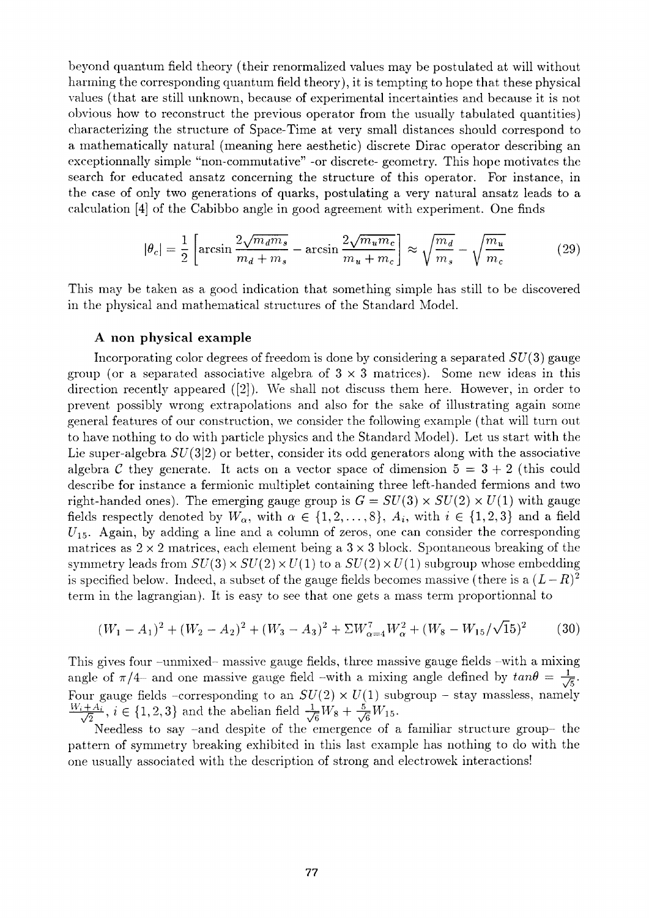beyond quantum field theory (their renormalized values may be postulated at will without harming the corresponding quantum field theory), it is tempting to hope that these physical values (that are still unknown, because of experimental incertainties and because it is not obvious how to reconstruct the previous operator from the usually tabulated quantities) characterizing the structure of Space-Time at very small distances should correspond to a mathematically natural (meaning here aesthetic) discrete Dirac operator describing an exceptionnally simple "non-commutative" -or discrete- geometry. This hope motivates the search for educated ansatz concerning the structure of this operator. For instance, in the case of only two generations of quarks, postulating a very natural ansatz leads to a calculation [4] of the Cabibbo angle in good agreement with experiment. One finds

$$
|\theta_c| = \frac{1}{2} \left[ \arcsin \frac{2\sqrt{m_d m_s}}{m_d + m_s} - \arcsin \frac{2\sqrt{m_u m_c}}{m_u + m_c} \right] \approx \sqrt{\frac{m_d}{m_s}} - \sqrt{\frac{m_u}{m_c}} \tag{29}
$$

This may be taken as a good indication that something simple has still to be discovered in the physical and mathematical structures of the Standard Model.

#### **A non physical example**

Incorporating color degrees of freedom is done by considering a separated *SU(3)* gauge group (or a separated associative algebra of  $3 \times 3$  matrices). Some new ideas in this direction recently appeared ([2]). We shall not discuss them here. However, in order to prevent possibly wrong extrapolations and also for the sake of illustrating again some general features of our construction, we consider the following example (that will turn out to have nothing to do with particle physics and the Standard Model). Let us start with the Lie super-algebra  $SU(3|2)$  or better, consider its odd generators along with the associative algebra C they generate. It acts on a vector space of dimension  $5 = 3 + 2$  (this could describe for instance a fermionic multiplet containing three left-handed fermions and two right-handed ones). The emerging gauge group is  $G = SU(3) \times SU(2) \times U(1)$  with gauge fields respectly denoted by  $W_{\alpha}$ , with  $\alpha \in \{1, 2, ..., 8\}$ ,  $A_i$ , with  $i \in \{1, 2, 3\}$  and a field  $U_{15}$ . Again, by adding a line and a column of zeros, one can consider the corresponding matrices as  $2 \times 2$  matrices, each element being a  $3 \times 3$  block. Spontaneous breaking of the symmetry leads from  $SU(3) \times SU(2) \times U(1)$  to a  $SU(2) \times U(1)$  subgroup whose embedding is specified below. Indeed, a subset of the gauge fields becomes massive (there is a  $(L-R)^2$ term in the lagrangian). It is easy to see that one gets a mass term proportionnai to

$$
(W_1 - A_1)^2 + (W_2 - A_2)^2 + (W_3 - A_3)^2 + \Sigma W_{\alpha=4}^7 W_{\alpha}^2 + (W_8 - W_{15}/\sqrt{15})^2 \tag{30}
$$

This gives four -unmixed- massive gauge fields, three massive gauge fields -with a mixing angle of  $\pi/4$ - and one massive gauge field -with a mixing angle defined by  $tan\theta = \frac{1}{\sqrt{5}}$ . Four gauge fields -corresponding to an  $SU(2) \times U(1)$  subgroup - stay massless, namely  $i \in \{1,2,3\}$  and the abelian field  $\frac{1}{\sqrt{6}}W_8 + \frac{5}{\sqrt{6}}W_{15}$ .

Needless to say -and despite of the emergence of a familiar structure group- the pattern of symmetry breaking exhibited in this last example has nothing to do with the one usually associated with the description of strong and electrowek interactions!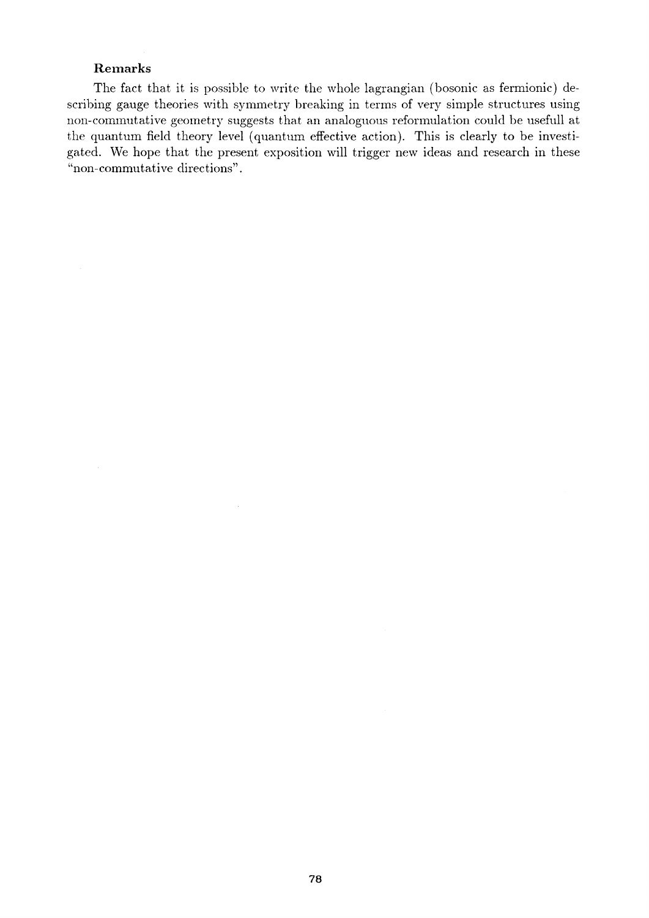# **Remarks**

The fact that it is possible to write the whole lagrangian (bosonic as fermionic) describing gauge theories with symmetry breaking in terms of very simple structures using non-commutative geometry suggests that an analoguous reformulation could be usefull at the quantum field theory level (quantum effective action). This is clearly to be investigated. We hope that the present exposition will trigger new ideas and research in these "non-commutative directions".